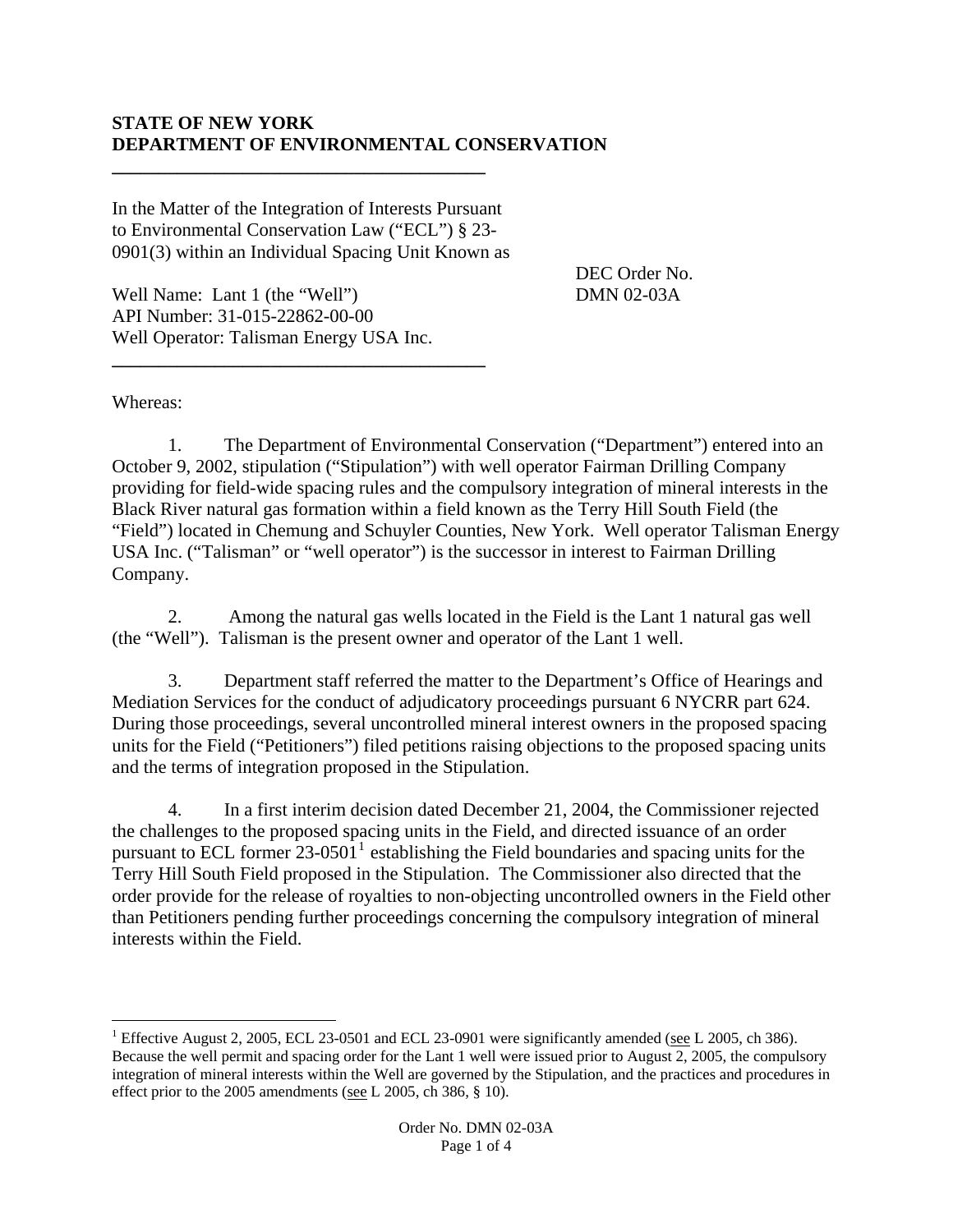## **STATE OF NEW YORK DEPARTMENT OF ENVIRONMENTAL CONSERVATION**

In the Matter of the Integration of Interests Pursuant to Environmental Conservation Law ("ECL") § 23- 0901(3) within an Individual Spacing Unit Known as

**\_\_\_\_\_\_\_\_\_\_\_\_\_\_\_\_\_\_\_\_\_\_\_\_\_\_\_\_\_\_\_\_\_\_\_\_\_\_\_\_** 

**\_\_\_\_\_\_\_\_\_\_\_\_\_\_\_\_\_\_\_\_\_\_\_\_\_\_\_\_\_\_\_\_\_\_\_\_\_\_\_\_** 

DEC Order No. DMN 02-03A

Well Name: Lant 1 (the "Well") API Number: 31-015-22862-00-00 Well Operator: Talisman Energy USA Inc.

Whereas:

 $\overline{a}$ 

 1. The Department of Environmental Conservation ("Department") entered into an October 9, 2002, stipulation ("Stipulation") with well operator Fairman Drilling Company providing for field-wide spacing rules and the compulsory integration of mineral interests in the Black River natural gas formation within a field known as the Terry Hill South Field (the "Field") located in Chemung and Schuyler Counties, New York. Well operator Talisman Energy USA Inc. ("Talisman" or "well operator") is the successor in interest to Fairman Drilling Company.

 2. Among the natural gas wells located in the Field is the Lant 1 natural gas well (the "Well"). Talisman is the present owner and operator of the Lant 1 well.

 3. Department staff referred the matter to the Department's Office of Hearings and Mediation Services for the conduct of adjudicatory proceedings pursuant 6 NYCRR part 624. During those proceedings, several uncontrolled mineral interest owners in the proposed spacing units for the Field ("Petitioners") filed petitions raising objections to the proposed spacing units and the terms of integration proposed in the Stipulation.

 4. In a first interim decision dated December 21, 2004, the Commissioner rejected the challenges to the proposed spacing units in the Field, and directed issuance of an order pursuant to ECL former  $23{\text -}0501^1$  $23{\text -}0501^1$  $23{\text -}0501^1$  establishing the Field boundaries and spacing units for the Terry Hill South Field proposed in the Stipulation. The Commissioner also directed that the order provide for the release of royalties to non-objecting uncontrolled owners in the Field other than Petitioners pending further proceedings concerning the compulsory integration of mineral interests within the Field.

<span id="page-0-0"></span><sup>&</sup>lt;sup>1</sup> Effective August 2, 2005, ECL 23-0501 and ECL 23-0901 were significantly amended (see L 2005, ch 386). Because the well permit and spacing order for the Lant 1 well were issued prior to August 2, 2005, the compulsory integration of mineral interests within the Well are governed by the Stipulation, and the practices and procedures in effect prior to the 2005 amendments (see L 2005, ch 386, § 10).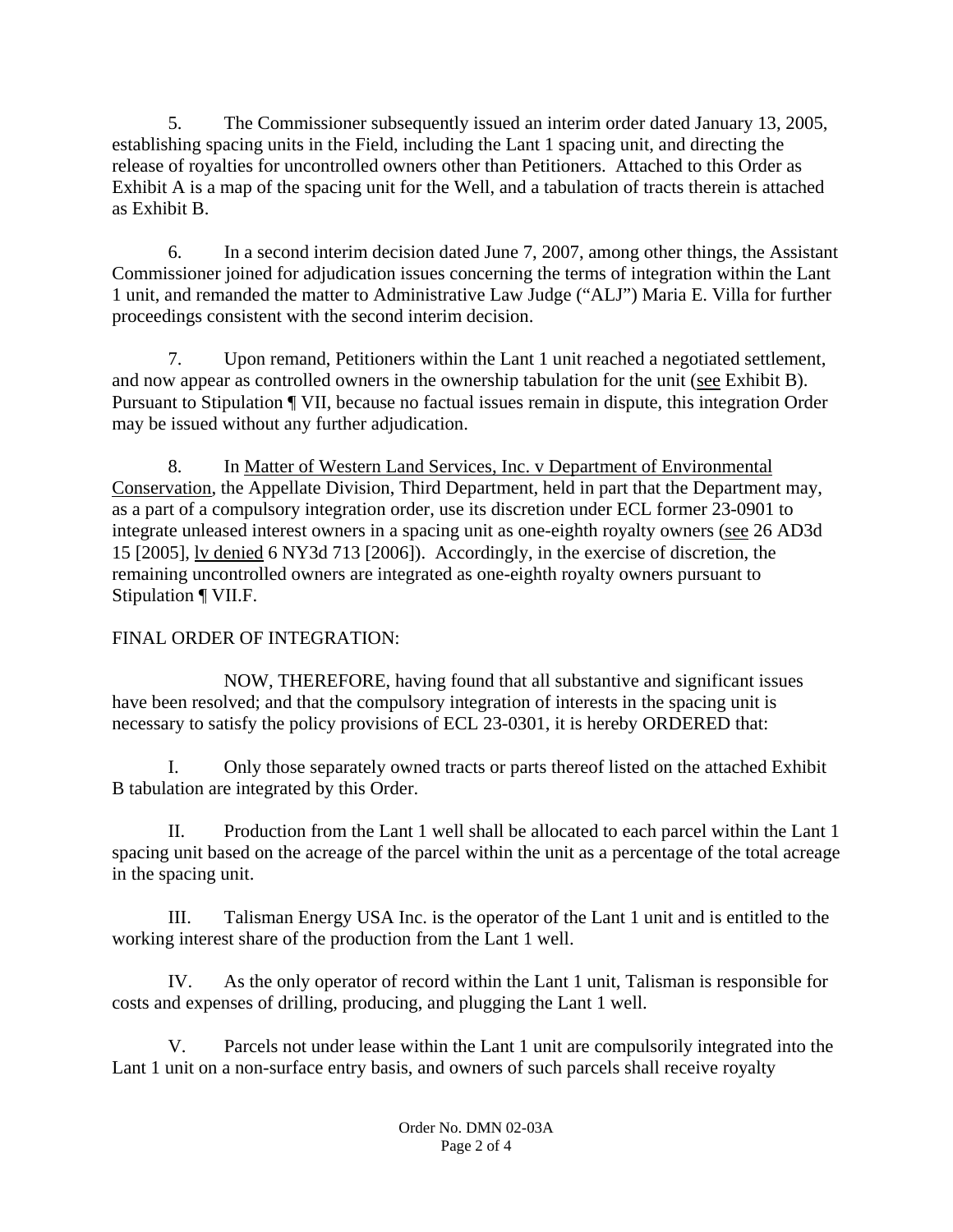5. The Commissioner subsequently issued an interim order dated January 13, 2005, establishing spacing units in the Field, including the Lant 1 spacing unit, and directing the release of royalties for uncontrolled owners other than Petitioners. Attached to this Order as Exhibit A is a map of the spacing unit for the Well, and a tabulation of tracts therein is attached as Exhibit B.

 6. In a second interim decision dated June 7, 2007, among other things, the Assistant Commissioner joined for adjudication issues concerning the terms of integration within the Lant 1 unit, and remanded the matter to Administrative Law Judge ("ALJ") Maria E. Villa for further proceedings consistent with the second interim decision.

 7. Upon remand, Petitioners within the Lant 1 unit reached a negotiated settlement, and now appear as controlled owners in the ownership tabulation for the unit (see Exhibit B). Pursuant to Stipulation ¶ VII, because no factual issues remain in dispute, this integration Order may be issued without any further adjudication.

 8. In Matter of Western Land Services, Inc. v Department of Environmental Conservation, the Appellate Division, Third Department, held in part that the Department may, as a part of a compulsory integration order, use its discretion under ECL former 23-0901 to integrate unleased interest owners in a spacing unit as one-eighth royalty owners (see 26 AD3d 15 [2005], lv denied 6 NY3d 713 [2006]). Accordingly, in the exercise of discretion, the remaining uncontrolled owners are integrated as one-eighth royalty owners pursuant to Stipulation ¶ VII.F.

## FINAL ORDER OF INTEGRATION:

 NOW, THEREFORE, having found that all substantive and significant issues have been resolved; and that the compulsory integration of interests in the spacing unit is necessary to satisfy the policy provisions of ECL 23-0301, it is hereby ORDERED that:

 I. Only those separately owned tracts or parts thereof listed on the attached Exhibit B tabulation are integrated by this Order.

 II. Production from the Lant 1 well shall be allocated to each parcel within the Lant 1 spacing unit based on the acreage of the parcel within the unit as a percentage of the total acreage in the spacing unit.

 III. Talisman Energy USA Inc. is the operator of the Lant 1 unit and is entitled to the working interest share of the production from the Lant 1 well.

 IV. As the only operator of record within the Lant 1 unit, Talisman is responsible for costs and expenses of drilling, producing, and plugging the Lant 1 well.

 V. Parcels not under lease within the Lant 1 unit are compulsorily integrated into the Lant 1 unit on a non-surface entry basis, and owners of such parcels shall receive royalty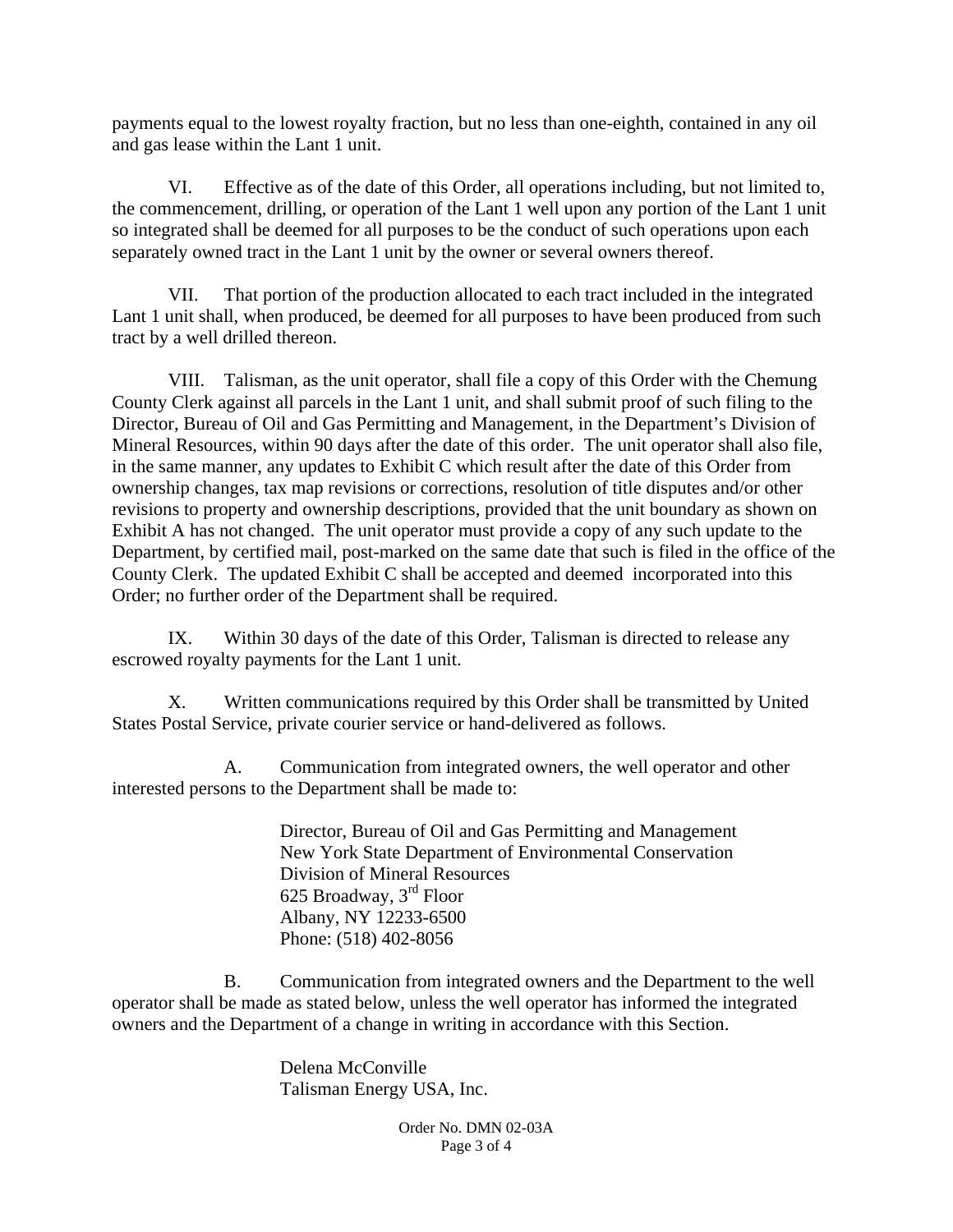payments equal to the lowest royalty fraction, but no less than one-eighth, contained in any oil and gas lease within the Lant 1 unit.

 VI. Effective as of the date of this Order, all operations including, but not limited to, the commencement, drilling, or operation of the Lant 1 well upon any portion of the Lant 1 unit so integrated shall be deemed for all purposes to be the conduct of such operations upon each separately owned tract in the Lant 1 unit by the owner or several owners thereof.

 VII. That portion of the production allocated to each tract included in the integrated Lant 1 unit shall, when produced, be deemed for all purposes to have been produced from such tract by a well drilled thereon.

 VIII. Talisman, as the unit operator, shall file a copy of this Order with the Chemung County Clerk against all parcels in the Lant 1 unit, and shall submit proof of such filing to the Director, Bureau of Oil and Gas Permitting and Management, in the Department's Division of Mineral Resources, within 90 days after the date of this order. The unit operator shall also file, in the same manner, any updates to Exhibit C which result after the date of this Order from ownership changes, tax map revisions or corrections, resolution of title disputes and/or other revisions to property and ownership descriptions, provided that the unit boundary as shown on Exhibit A has not changed. The unit operator must provide a copy of any such update to the Department, by certified mail, post-marked on the same date that such is filed in the office of the County Clerk. The updated Exhibit C shall be accepted and deemed incorporated into this Order; no further order of the Department shall be required.

 IX. Within 30 days of the date of this Order, Talisman is directed to release any escrowed royalty payments for the Lant 1 unit.

X. Written communications required by this Order shall be transmitted by United States Postal Service, private courier service or hand-delivered as follows.

A. Communication from integrated owners, the well operator and other interested persons to the Department shall be made to:

> Director, Bureau of Oil and Gas Permitting and Management New York State Department of Environmental Conservation Division of Mineral Resources 625 Broadway, 3rd Floor Albany, NY 12233-6500 Phone: (518) 402-8056

B. Communication from integrated owners and the Department to the well operator shall be made as stated below, unless the well operator has informed the integrated owners and the Department of a change in writing in accordance with this Section.

> Delena McConville Talisman Energy USA, Inc.

> > Order No. DMN 02-03A Page 3 of 4